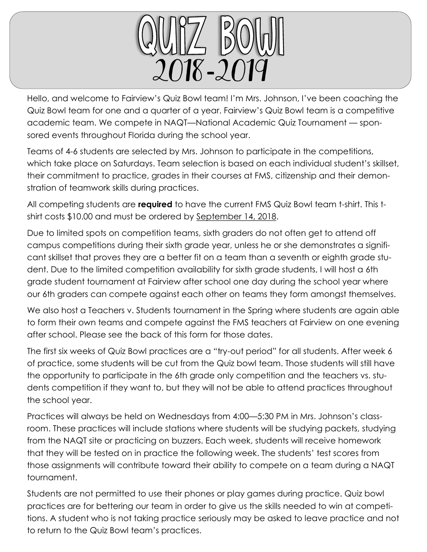

Hello, and welcome to Fairview's Quiz Bowl team! I'm Mrs. Johnson, I've been coaching the Quiz Bowl team for one and a quarter of a year. Fairview's Quiz Bowl team is a competitive academic team. We compete in NAQT—National Academic Quiz Tournament — sponsored events throughout Florida during the school year.

Teams of 4-6 students are selected by Mrs. Johnson to participate in the competitions, which take place on Saturdays. Team selection is based on each individual student's skillset, their commitment to practice, grades in their courses at FMS, citizenship and their demonstration of teamwork skills during practices.

All competing students are **required** to have the current FMS Quiz Bowl team t-shirt. This tshirt costs \$10.00 and must be ordered by <u>September 14, 2018</u>.

Due to limited spots on competition teams, sixth graders do not often get to attend off campus competitions during their sixth grade year, unless he or she demonstrates a significant skillset that proves they are a better fit on a team than a seventh or eighth grade student. Due to the limited competition availability for sixth grade students, I will host a 6th grade student tournament at Fairview after school one day during the school year where our 6th graders can compete against each other on teams they form amongst themselves.

We also host a Teachers v. Students tournament in the Spring where students are again able to form their own teams and compete against the FMS teachers at Fairview on one evening after school. Please see the back of this form for those dates.

The first six weeks of Quiz Bowl practices are a "try-out period" for all students. After week 6 of practice, some students will be cut from the Quiz bowl team. Those students will still have the opportunity to participate in the 6th grade only competition and the teachers vs. students competition if they want to, but they will not be able to attend practices throughout the school year.

Practices will always be held on Wednesdays from 4:00—5:30 PM in Mrs. Johnson's classroom. These practices will include stations where students will be studying packets, studying from the NAQT site or practicing on buzzers. Each week, students will receive homework that they will be tested on in practice the following week. The students' test scores from those assignments will contribute toward their ability to compete on a team during a NAQT tournament.

Students are not permitted to use their phones or play games during practice. Quiz bowl practices are for bettering our team in order to give us the skills needed to win at competitions. A student who is not taking practice seriously may be asked to leave practice and not to return to the Quiz Bowl team's practices.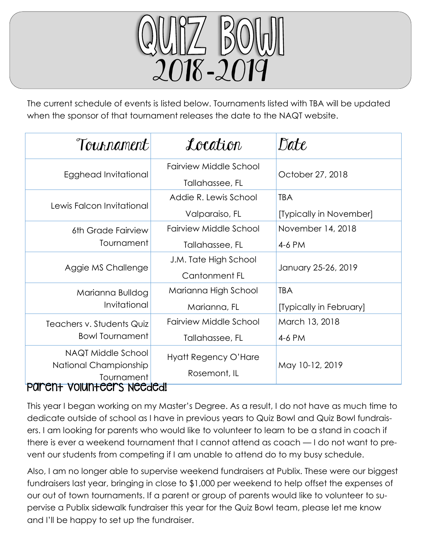

The current schedule of events is listed below. Tournaments listed with TBA will be updated when the sponsor of that tournament releases the date to the NAQT website.

| Tournament                                                                             | Location                                  | Date                                  |
|----------------------------------------------------------------------------------------|-------------------------------------------|---------------------------------------|
| Egghead Invitational                                                                   | Fairview Middle School<br>Tallahassee, FL | October 27, 2018                      |
| Lewis Falcon Invitational                                                              | Addie R. Lewis School<br>Valparaiso, FL   | <b>TBA</b><br>[Typically in November] |
| 6th Grade Fairview<br>Tournament                                                       | Fairview Middle School<br>Tallahassee, FL | November 14, 2018<br>4-6 PM           |
| Aggie MS Challenge                                                                     | J.M. Tate High School<br>Cantonment FL    | January 25-26, 2019                   |
| Marianna Bulldog<br>Invitational                                                       | Marianna High School<br>Marianna, FL      | <b>TBA</b><br>[Typically in February] |
| Teachers v. Students Quiz<br><b>Bowl Tournament</b>                                    | Fairview Middle School<br>Tallahassee, FL | March 13, 2018<br>4-6 PM              |
| NAQT Middle School<br>National Championship<br>Tournament<br>Parent volunteers Needed! | Hyatt Regency O'Hare<br>Rosemont, IL      | May 10-12, 2019                       |

This year I began working on my Master's Degree. As a result, I do not have as much time to dedicate outside of school as I have in previous years to Quiz Bowl and Quiz Bowl fundraisers. I am looking for parents who would like to volunteer to learn to be a stand in coach if there is ever a weekend tournament that I cannot attend as coach — I do not want to prevent our students from competing if I am unable to attend do to my busy schedule.

Also, I am no longer able to supervise weekend fundraisers at Publix. These were our biggest fundraisers last year, bringing in close to \$1,000 per weekend to help offset the expenses of our out of town tournaments. If a parent or group of parents would like to volunteer to supervise a Publix sidewalk fundraiser this year for the Quiz Bowl team, please let me know and I'll be happy to set up the fundraiser.